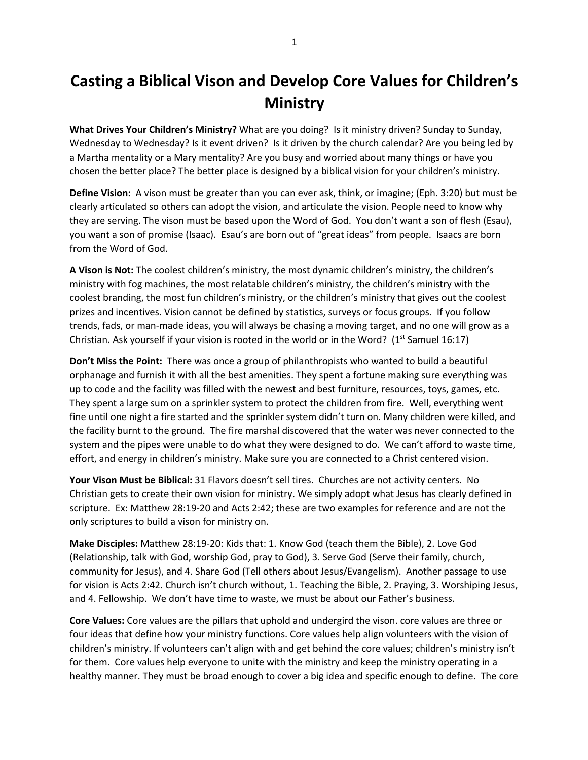## **Casting a Biblical Vison and Develop Core Values for Children's Ministry**

**What Drives Your Children's Ministry?** What are you doing? Is it ministry driven? Sunday to Sunday, Wednesday to Wednesday? Is it event driven? Is it driven by the church calendar? Are you being led by a Martha mentality or a Mary mentality? Are you busy and worried about many things or have you chosen the better place? The better place is designed by a biblical vision for your children's ministry.

**Define Vision:** A vison must be greater than you can ever ask, think, or imagine; (Eph. 3:20) but must be clearly articulated so others can adopt the vision, and articulate the vision. People need to know why they are serving. The vison must be based upon the Word of God. You don't want a son of flesh (Esau), you want a son of promise (Isaac). Esau's are born out of "great ideas" from people. Isaacs are born from the Word of God.

**A Vison is Not:** The coolest children's ministry, the most dynamic children's ministry, the children's ministry with fog machines, the most relatable children's ministry, the children's ministry with the coolest branding, the most fun children's ministry, or the children's ministry that gives out the coolest prizes and incentives. Vision cannot be defined by statistics, surveys or focus groups. If you follow trends, fads, or man-made ideas, you will always be chasing a moving target, and no one will grow as a Christian. Ask yourself if your vision is rooted in the world or in the Word?  $(1^{st}$  Samuel 16:17)

**Don't Miss the Point:** There was once a group of philanthropists who wanted to build a beautiful orphanage and furnish it with all the best amenities. They spent a fortune making sure everything was up to code and the facility was filled with the newest and best furniture, resources, toys, games, etc. They spent a large sum on a sprinkler system to protect the children from fire. Well, everything went fine until one night a fire started and the sprinkler system didn't turn on. Many children were killed, and the facility burnt to the ground. The fire marshal discovered that the water was never connected to the system and the pipes were unable to do what they were designed to do. We can't afford to waste time, effort, and energy in children's ministry. Make sure you are connected to a Christ centered vision.

**Your Vison Must be Biblical:** 31 Flavors doesn't sell tires. Churches are not activity centers. No Christian gets to create their own vision for ministry. We simply adopt what Jesus has clearly defined in scripture. Ex: Matthew 28:19-20 and Acts 2:42; these are two examples for reference and are not the only scriptures to build a vison for ministry on.

**Make Disciples:** Matthew 28:19-20: Kids that: 1. Know God (teach them the Bible), 2. Love God (Relationship, talk with God, worship God, pray to God), 3. Serve God (Serve their family, church, community for Jesus), and 4. Share God (Tell others about Jesus/Evangelism). Another passage to use for vision is Acts 2:42. Church isn't church without, 1. Teaching the Bible, 2. Praying, 3. Worshiping Jesus, and 4. Fellowship. We don't have time to waste, we must be about our Father's business.

**Core Values:** Core values are the pillars that uphold and undergird the vison. core values are three or four ideas that define how your ministry functions. Core values help align volunteers with the vision of children's ministry. If volunteers can't align with and get behind the core values; children's ministry isn't for them. Core values help everyone to unite with the ministry and keep the ministry operating in a healthy manner. They must be broad enough to cover a big idea and specific enough to define. The core